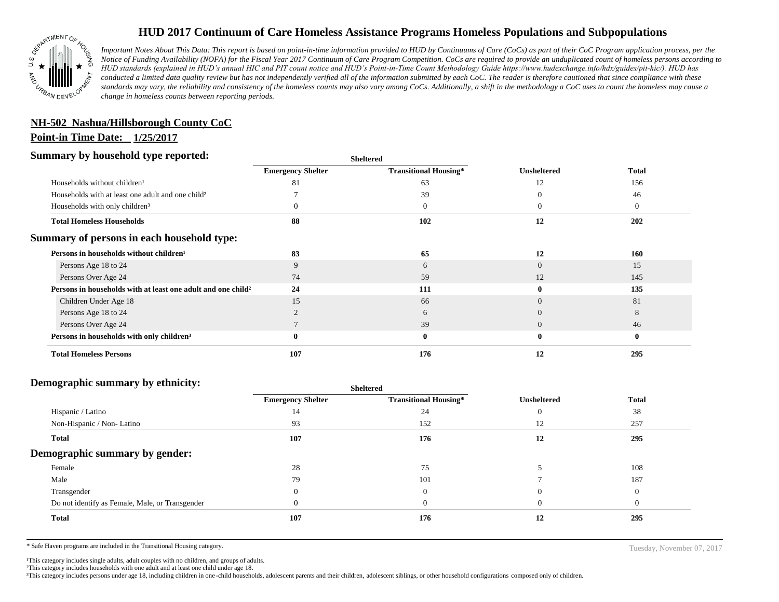

## **HUD 2017 Continuum of Care Homeless Assistance Programs Homeless Populations and Subpopulations**

*Important Notes About This Data: This report is based on point-in-time information provided to HUD by Continuums of Care (CoCs) as part of their CoC Program application process, per the Notice of Funding Availability (NOFA) for the Fiscal Year 2017 Continuum of Care Program Competition. CoCs are required to provide an unduplicated count of homeless persons according to HUD standards (explained in HUD's annual HIC and PIT count notice and HUD's Point-in-Time Count Methodology Guide https://www.hudexchange.info/hdx/guides/pit-hic/). HUD has conducted a limited data quality review but has not independently verified all of the information submitted by each CoC. The reader is therefore cautioned that since compliance with these*  standards may vary, the reliability and consistency of the homeless counts may also vary among CoCs. Additionally, a shift in the methodology a CoC uses to count the homeless may cause a *change in homeless counts between reporting periods.*

# **NH-502 Nashua/Hillsborough County CoC**

#### **Point-in Time Date: 1/25/2017**

#### **Summary by household type reported:**

| эчнинагу бу почвеною туре герогіесі:                                     | <b>Sheltered</b>         |                              |                    |                |
|--------------------------------------------------------------------------|--------------------------|------------------------------|--------------------|----------------|
|                                                                          | <b>Emergency Shelter</b> | <b>Transitional Housing*</b> | <b>Unsheltered</b> | <b>Total</b>   |
| Households without children <sup>1</sup>                                 | -81                      | 63                           | 12                 | 156            |
| Households with at least one adult and one child?                        |                          | 39                           |                    | 46             |
| Households with only children <sup>3</sup>                               |                          | $\overline{0}$               | $\theta$           | $\overline{0}$ |
| <b>Total Homeless Households</b>                                         | 88                       | 102                          | 12                 | 202            |
| Summary of persons in each household type:                               |                          |                              |                    |                |
| Persons in households without children <sup>1</sup>                      | 83                       | 65                           | 12                 | 160            |
| Persons Age 18 to 24                                                     | 9                        | 6                            | $\Omega$           | 15             |
| Persons Over Age 24                                                      | 74                       | 59                           | 12                 | 145            |
| Persons in households with at least one adult and one child <sup>2</sup> | 24                       | 111                          | 0                  | 135            |
| Children Under Age 18                                                    | 15                       | 66                           | $\Omega$           | 81             |
| Persons Age 18 to 24                                                     |                          | 6                            | $\Omega$           | 8              |
| Persons Over Age 24                                                      |                          | 39                           | $\Omega$           | 46             |
| Persons in households with only children <sup>3</sup>                    |                          | $\bf{0}$                     | $\bf{0}$           | $\bf{0}$       |
| <b>Total Homeless Persons</b>                                            | 107                      | 176                          | 12                 | 295            |

#### **Demographic summary by ethnicity:**

| ີ<br>. .<br>$\cdot$ $\cdot$                     | Sneitered                |                              |                    |              |
|-------------------------------------------------|--------------------------|------------------------------|--------------------|--------------|
|                                                 | <b>Emergency Shelter</b> | <b>Transitional Housing*</b> | <b>Unsheltered</b> | <b>Total</b> |
| Hispanic / Latino                               | 14                       | 24                           |                    | 38           |
| Non-Hispanic / Non-Latino                       | 93                       | 152                          | 12                 | 257          |
| <b>Total</b>                                    | 107                      | 176                          | 12                 | 295          |
| Demographic summary by gender:                  |                          |                              |                    |              |
| Female                                          | 28                       | 75                           |                    | 108          |
| Male                                            | 79                       | 101                          |                    | 187          |
| Transgender                                     |                          | $\mathbf{0}$                 | $\mathbf{0}$       | $\Omega$     |
| Do not identify as Female, Male, or Transgender |                          | $\Omega$                     | $\mathbf{U}$       | $\Omega$     |
| Total                                           | 107                      | 176                          | 12                 | 295          |
|                                                 |                          |                              |                    |              |

**Sheltered**

\* Safe Haven programs are included in the Transitional Housing category. Tuesday, November 07, 2017

<sup>1</sup>This category includes single adults, adult couples with no children, and groups of adults.

²This category includes households with one adult and at least one child under age 18.

³This category includes persons under age 18, including children in one -child households, adolescent parents and their children, adolescent siblings, or other household configurations composed only of children.